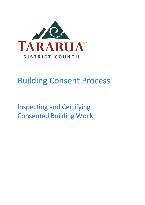

# Building Consent Process

Inspecting and Certifying Consented Building Work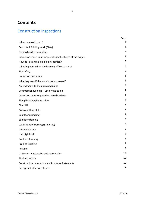# **Contents**

# Construction Inspections

|                                                                | Page |
|----------------------------------------------------------------|------|
| When can work start?                                           | 4    |
| <b>Restricted Building work (RBW)</b>                          | 4    |
| Owner/builder exemption                                        | 4    |
| Inspections must be arranged at specific stages of the project | 5    |
| How do I arrange a building inspection?                        | 5    |
| What happens when the building officer arrives?                | 6    |
| Site safety                                                    | 6    |
| Inspection procedure                                           | 6    |
| What happens if the work is not approved?                      | 6    |
| Amendments to the approved plans                               | 6    |
| Commercial buildings - use by the public                       | 7    |
| Inspection types required for new buildings                    | 7    |
| Siting/Footings/Foundations                                    | 7    |
| <b>Block fill</b>                                              | 7    |
| Concrete floor slabs                                           | 7    |
| Sub floor plumbing                                             | 8    |
| Sub floor framing                                              | 8    |
| Wall and roof framing (pre-wrap)                               | 8    |
| Wrap and cavity                                                | 8    |
| Half high brick                                                | 9    |
| Pre-line plumbing                                              | 9    |
| Pre-line Building                                              | 9    |
| Postline                                                       | 9    |
| Drainage - wastewater and stormwater                           | 10   |
| Final inspection                                               | 10   |
| <b>Construction supervision and Producer Statements</b>        | 10   |
| Energy and other certificates                                  | 11   |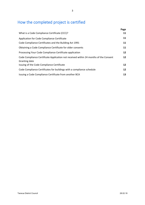# How the completed project is certified

|                                                                                                       | Page |
|-------------------------------------------------------------------------------------------------------|------|
| What is a Code Compliance Certificate (CCC)?                                                          | 11   |
| Application for Code Compliance Certificate                                                           | 11   |
| Code Compliance Certificates and the Building Act 1991                                                | 11   |
| Obtaining a Code Compliance Certificate for older consents                                            | 11   |
| Processing Your Code Compliance Certificate application                                               | 12   |
| Code Compliance Certificate Application not received within 24 months of the Consent<br>Granting date | 12   |
| Issuing of the Code Compliance Certificate                                                            | 12   |
| Code Compliance Certificates for buildings with a compliance schedule                                 | 12   |
| Issuing a Code Compliance Certificate from another BCA                                                | 13   |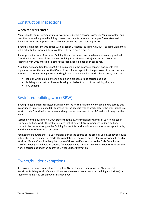# Construction Inspections

#### When can work start?

You are liable for infringement fines if work starts before a consent is issued. You must obtain and read the stamped approved building consent documents before work begins. These stamped documents must be kept on-site at all times during the construction process.

If your building consent was issued with a Section 37 notice (Building Act 2004), building work must not start until the specified Resource Consents have been granted.

If your project includes Restricted Building Work (see below) and you have not already provided Council with the names of the Licensed Building Practitioners (LBP's) who will carry out the restricted work, you must do so before the first inspection has been called for.

A Building Act condition (section 90) will be placed on the approved consent documents that stipulates the entitlement for the BCA, or its nominated agent, for the purposes of this section are entitled, at all times during normal working hours or while building work is being done, to inspect:

- land on which building work is being or is proposed to be carried out; and
- building work that has been or is being carried out on or off the building site; and
- any building.

### Restricted building work (RBW)

If your project includes restricted building work (RBW) the restricted work can only be carried out by, or under supervision of a LBP approved for the specific type of work. Before the work starts, you must provide Council with the names and registration numbers of the LBP's who will carry out the work.

Section 87 of the Building Act 2004 states that the owner must notify names of LBP's engaged in restricted building work. The Act also states that after any RBW commences under a building consent, the owner must give the Building Consent Authority written notice as soon as practicable, and the names of the LBP's concerned.

You need to be aware that if a LBP changes during the course of the project, you must advise Council before the new tradesperson starts. On completion of the work, each LBP must provide a Record of Work certificate. Council will require copies of these certificates prior to the Code Compliance Certificate being issued. It is an offence for a person who is not an LBP to carry out RBW unless the work is carried out under an approved Owner Builder Exemption.

## Owner/builder exemptions

It is possible in some circumstances to get an Owner Building Exemption for DIY work that is Restricted Building Work. Owner-builders are able to carry out restricted building work (RBW) on their own home. You are an owner-builder if you: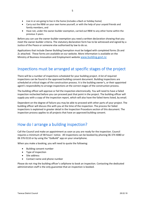- Live in or are going to live in the home (includes a Bach or holiday home)
- Carry out the RBW on your own home yourself, or with the help of your unpaid friends and family members, and
- Have not, under the owner-builder exemption, carried out RBW to any other home within the previous 3 years.

Before you can use the owner-builder exemption you need a written declaration showing that you meet the owner-builder criteria. The statutory declaration form has to be witnessed and signed by a Justice of the Peace or someone else authorised by law to do so.

Applications that include Owner Building Exemption must be lodged with completed forms 2b and 2c attached. These forms are available on our website. More information is available on the Ministry of Business Innovation and Employment website [www.building.govt.nz](http://www.building.govt.nz/)

# Inspections must be arranged at specific stages of the project

There will be a number of inspections scheduled for your building project. A list of required inspections can be found in the approved building consent document. Building inspections are scheduled at critical stages of the construction process. It is the building owner's, or their appointed agent's responsibility to arrange inspections at the correct stages of the construction process.

The building officer will approve or fail the inspection electronically. You will need to have a failed inspection rechecked before you can proceed past that point in the project. The building officer will supply you with a copy of the inspection report, which will also have the failed items listed, by email.

Dependent on the degree of failure you may be able to proceed with other parts of your project. The building officer will discuss this with you at the time of the inspection. The process for failed inspections is explained in greater detail in the Inspection Procedure section of this document. The inspection process applies to all projects that have an approved building consent.

# How do I arrange a building inspection?

Call the Council and make an appointment as soon as you are ready for the inspection. Council requires a minimum of 48 hours' notice. All inspections can be booked by phoning 06 374 4080 or 06 376 0110 or by using the "GoBuild" app on your smartphone.

When you make a booking, you will need to quote the following:

- Building consent number
- Type of inspection
- Site address
- Contact name and phone number

Please do not ring the building officer's cellphone to book an inspection. Contacting the dedicated administration staff is the only guarantee that an inspection is booked.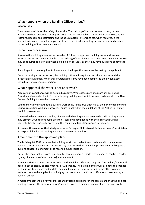### What happens when the Building Officer arrives? Site Safety

You are responsible for the safety of your site. The building officer may refuse to carry out an inspection where adequate safety provisions have not been taken. This includes such issues as well restrained ladders and scaffolding and includes shutters in trenches etc. when required. If the inspection is in an elevated area you must have restrained scaffolding or another method available so the building officer can view the work.

#### Inspection procedure

Access to the building site must be provided. A full set of approved building consent documents must be on-site and made available to the building officer. Ensure the site is clean, tidy and safe. You may be required to be on-site when a building officer visits as they may have questions or advice for you.

If any inspections are required to be repeated the inspection cost must be met by the applicant.

Once the work passes inspection, the building officer will require an email address to send the inspection results back. When these outstanding items have been completed the owner/agent should call for a recheck inspection.

#### What happens if the work is not approved?

Areas of non-compliance will be detailed as above. Where issues are of a more serious nature, Council may issue a Notice to fix, requiring any building work not done in accordance with the New Zealand Building Code to be corrected.

Council may also direct that the building work cease in the area affected by the non-compliance until Council is satisfied work may proceed. Failure to act within the guidelines of the Notice to Fix may result in prosecution.

You need to have an understanding of what and when inspections are needed. Missed inspections may prevent Council from being able to establish full compliance with the approved building consent, therefore possibly preventing the issuing of a Code Compliance Certificate.

**It is solely the owner or their designated agent's responsibility to call for inspections.** Council takes no responsibility for missed inspections that were not called for.

#### Amendment to the approved plans

The Building Act 2004 requires that building work is carried out in accordance with the approved building consent documents. This means any changes to the stamped approved plans will require a building consent amendment or to record a minor variation.

During the construction process, invariably there are changes made. These changes can be recorded by way of a minor variation or a major amendment.

A minor variation can be simply recorded by the building officer on the plans. The builder/owner will need to advise clearly on site what has or will change. The building officer will also note the changes on the inspection record and update the main building file once returned to the office. A minor variation can also be applied for by lodging the proposal at the Council office for assessment by a building officer.

A major amendment is a formal process and must be applied for in the same manner as the original building consent. The timeframes for Council to process a major amendment are the same as the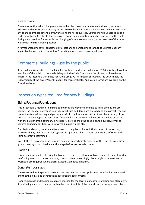building consent.

Please ensure that when changes are made that the correct method of amendments/variations is followed and notify Council as early as possible so the work on-site is not slowed down as a result of any changes. If these amendments/variations are not requested, Council may be unable to issue a Code Compliance Certificate for the project. Some minor variations may be approved on the spot during an inspection, for example the changing of a window to a door (or the reverse) of the same width with no structural implications.

A formal amendment will generate extra costs and the amendment cannot be uplifted until any applicable fees are paid. Council has 20 working days to assess an amendment.

### Commercial buildings - use by the public

If the building is classified as a building for public use under the Building Act 2004, it is illegal to allow members of the public to use the building until the Code Compliance Certificate has been issued, unless in the interim, a Certificate for Public use (CPU) has been approved by the Council. It is the responsibility of the owner/agent to apply for this certificate. Application forms are available on the Council website.

### Inspection types required for new buildings

#### Siting/Footings/Foundations

This inspection is required to ensure boundaries are identified and the building dimensions are correct, the foundation ground bearing, trench size and depth are checked and the correct type and size of the steel reinforcing and placement within the foundation. At this time, the accuracy of the siting of the building is checked. Often floor heights and any unusual features would be discussed with the builder. If the boundary is not clearly defined then the onus is on the builder/owner to confirm boundary positions with surveyed boundary pegs etc.

For pile foundations, the size and treatment of the piles is checked, the location of the anchor/ braced/ordinary piles are checked against the approved plans. Ground bearing is confirmed and siting accuracy determined.

Note: If there is any specialised requirement e.g. geotechnical engineer, or their agent, to confirm ground bearing it must be done at this stage before concrete is poured.

#### Block fill

This inspection includes checking the blocks to ensure the internal webs are clean of cement mortar, reinforcing steel is of the correct type, size and placed accordingly. Floor heights are also checked. Washouts are required where blocks exceed 1.2 metres in height.

#### Concrete floor slabs

The concrete floor inspection involves checking that the correct polythene underlay has been used and that the joints and penetrations have been taped correctly.

Floor thickenings and loading points are checked for the location of extra reinforcing and placement. If reinforcing mesh is to be used within the floor, that it is of the type shown in the approved plans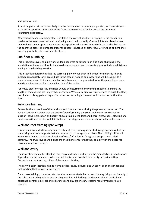and specifications.

It must be placed at the correct height in the floor and on proprietary supports (bar chairs etc.) and is the correct position in relation to the foundation reinforcing and is tied to the perimeter reinforcing adequately.

Where bond beam reinforcing steel is installed the correct position in relation to the foundation steel must be ascertained with all reinforcing mesh tied correctly. Control joints are placed where required with any proprietary joints correctly positioned. Control joint reinforcing is checked as per the approved plans. The proposed floor thickness is checked by either level, string line or sight lines to comply with the plans and specifications.

#### Sub-floor plumbing

This inspection covers all pipe work under a concrete or timber floor. Sub-floor plumbing is the installation of the under floor hot and cold-water supplies and the waste pipes for individual fixtures leading to the building exterior.

This inspection determines that the correct pipe work has been laid under for under the floor, is lagged appropriately for in ground use in the case of hot and cold water and will be subject to a water pressure test. Hot water cylinder drain lines are to be protected as for the plumbing system and should be checked for size and location of the outlet.

For waste pipes correct falls and sizes should be determined and venting checked to ensure the length of the outlet is not longer than permitted. Where any pipe work penetrates through the floor, the pipe work is lagged and taped for protection including expansion and contraction within the floor.

#### Sub-floor framing

Generally, the inspection of the sub-floor and floor can occur during the pre-wrap inspection. The building officer will check that the anchor/brace/ordinary pile sizing and fixings are correct for location including location and height above ground level. Joist and bearer sizes, spans, blocking and treatment will also be checked. If installed at that stage under-floor insulation will also be checked.

#### Wall and roof framing (pre-wrap)

This inspection checks framing grade, treatment type, framing sizes, stud fixings and spans, bottom plate fixings and any supports that are required from the approved plans. The building officer will also ensure that all the bracing, lintel, roof truss/rafter/purlin fixings and straps are installed correctly. The truss layout and fixings are checked to ensure that they comply with the approved truss manufacturers design.

#### Wall and cavity

The inspection regime for claddings are many and varied and rely on the manufactures specifications dependent on the type used. Where a cladding is to be installed on a cavity, a "cavity batten "inspection is required regardless of the type of cladding.

The cavity batten location, fixings, vermin strips, cavity closures and window, door, meter box and roof junction flashings are also checked.

For stucco claddings, the substrate check includes substrate batten and framing fixings, particularly if the substrate is being utilised as a bracing member. All flashings (as detailed above) vertical and horizontal control joints, ground clearances and any proprietary systems requirements are also checked.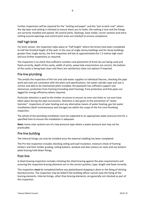Further inspections will be required for the "netting and paper" and the "pre-scratch coat" where the slip layer and netting is checked to ensure there are no holes, the netting is taut and the fixings are correctly installed and spaced. All control joints, flashings, base molds, corner sections and extra netting around openings and control joint areas are checked to ensure compliance.

#### Half high brick

For brick veneer, the inspection takes place at "half height" where the bricks have been completed to half the finished height of the wall. In the case of single storey buildings and for those buildings greater than single storey, the first inspection will bat at approximately the 1.2 metres high mark and any further inspections as required.

The inspection is to check that sufficient numbers and placement of brick ties are being used and fixed correctly, depth of the cavity, width of joints, weep hole sizes/centres are correct, the bottom of the cavity is being kept clean and there are satisfactory clean out options if required.

#### Pre-line plumbing

This entails the inspection of the hot and cold-water supplies to individual fixtures, checking the pipe work and sizes are consistent with the plans and specifications, hot water cylinder type and size is correct and able to be maintained when installed, the pipework has sufficient support and clearances, protection from framing (including steel framing), frost protection and that pipes are lagged for energy efficiency where required.

Particular attention is paid to the timber structure to ensure no over-size holes or cut-outs have taken place during the pipe-out process. Attention is also given to the prevention of "water hammer". Inspections of solar heating and any alternative means of water heating, gas hot water installations (both instantaneous and storage) are within the scope of the Pre-Line Plumbing inspection.

The whole of the plumbing installation must be subjected to an appropriate water pressure test for a specified time to ensure the installation is adequate.

**Note:** Some solar systems are of a low-pressure type where a water pressure test may not be practicable.

#### Pre-line building

The internal linings can only be installed once the external cladding has been completed.

The Pre-line inspection includes checking ceiling and wall insulation, moisture check of framing timbers and their timber grading, ceiling battens, window and door joinery air seals and any bottom plate bracing hold-down fixings.

#### Post-line

A sheet bracing inspection includes checking the sheet bracing against the plan requirements and ensuring the respective bracing elements are in the correct position, type, length and fixed correctly.

This inspection **must** be completed before any plasterboard stopping is done or the fixing of skirting boards/cornice. The inspection may be failed if the building officer cannot view the fixing of the bracing elements. Internal linings, other than bracing elements, are generally not checked as part of this inspection.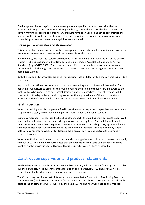Fire linings are checked against the approved plans and specifications for sheet size, thickness, location and fixings. Any penetrations through a through firewall lining are checked to ensure the correct framing procedure and proprietary products have been used so as not to compromise the integrity of the firewall and the structure. The building officer may require you to remove some screw fixings to ensure the correct length has been installed.

#### Drainage – wastewater and stormwater

This includes both sewer and stormwater drainage and connects from either a reticulated system or from (or to) an on-site wastewater and stormwater disposal system.

In either case, the drainage systems are checked against the plans and specification for the type of system it is being laid under, either New Zealand Building Code Acceptable Solutions or AS/NZ Standards (e.g. AS/NZS 3500). These systems have different demands on sewer and stormwater systems and both the in-ground sewer and stormwater drains are checked against the applicable nominated system.

Both the sewer and stormwater are check for bedding, falls and depth while the sewer is subject to a water test.

Septic tanks and effluent systems are classed as drainage inspections. Tanks will be checked for depth in ground, risers to bring lids to ground level and the sealing of those risers. Pipework to the tanks will also be inspected as per normal drainage inspection practices. Effluent trenches will be checked that the depth, length and siting are as per the approved plans. Other considerations include that the effluent metal is clean and of the correct sizing and that filter cloth is in place.

#### Final inspection

When the building work is complete, a final inspection can be requested. Dependent on the size and scope of the project, one or two building officers will conduct the final inspection.

Using a comprehensive checklist, the building officer checks the building work against the approved plans and specifications and any amended plans to ensure compliance. The building officer will clearly note any areas subject to ground clearance requirements and take photographs as evidence that ground clearances were compliant at the time of the inspection. It is crucial that any further paths or paving, ground works or landscaping (hard and/or soft) do not obstruct the compliant ground clearances.

When your final inspection has passed then you should organise the applicable paperwork and apply for your CCC. The Building Act 2004 states that the application for a Code Compliance Certificate must be on the application form (Form 6) that is included in your building consent file.

### Construction supervision and producer statements

Any building work outside the NZBC B1 Acceptable Solution, will require specific design by a suitably qualified engineer. A Producer Statement for Design and Peer Review (PS1 and/or PS2) will be requested at the building consent application stage of the project.

The Council may require as part of its inspection process that a Construction Monitoring Producer Statement (PS4) and relevant documents (inspection notes and photos) is supplied in regards to the parts of the building that were covered by the PS1/PS2. The engineer will state on the Producer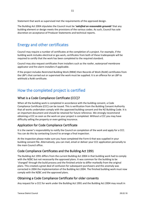The Building Act 2004 stipulates the Council must be *'satisfied on reasonable grounds'* that any building element or design meets the provisions of the various codes. As such, Council has sole discretion on acceptance of Producer Statements and technical reports.

# Energy and other certificates

Council may require a number of certificates at the completion of a project. For example, if the building work includes electrical or gas work, certificates from both of these tradespeople will be required to certify that the work has been completed to the required standard.

Council may also request certificates from installers such as the roofer, waterproof membrane applicator and fire alarm installers if applicable.

If the project includes Restricted Building Work (RBW) then Records of Work (RoW) certificates from the LBP's that carried out or supervised the work must be supplied. It is an offence for an LBP to withhold a RoW certificate.

# How the completed project is certified

#### What is a Code Compliance Certificate (CCC)?

When all the building work is completed in accordance with the building consent, a Code Compliance Certificate (CCC) can be issued. This is verification from the Building Consent Authority that all works undertaken comply with the approved building consent and the NZ Building Code. It is an important document and should be retained for future reference. We strongly recommend obtaining a CCC as soon as the work on your project is completed. Without a CCC you may have difficulty selling the property or even getting insurance.

#### Application for Code Compliance Certificate

It is the owner's responsibility to notify the Council on completion of the work and apply for a CCC. You can do this by contacting Council to arrange a final inspection.

At the inspection please make sure you have completed the Form 6 that was supplied in your building consent file. Alternatively, you can mail, email or deliver your CCC application personally to the main Council office.

#### Code Compliance Certificates and the Building Act 1991

The Building Act 1991 differs from the current Building Act 2004 in that building work had to comply with the NZBC but not necessarily the approved plans. It was common for the building to be 'changed' through the build process and the finished article to differ markedly from the original plans. This created a great deal of confusion for subsequent purchasers and this anomaly was corrected in 2004 the implementation of the Building Act 2004. The finished building work must now comply with the NZBC and the approved plans.

#### Obtaining a Code Compliance Certificate for older consents

Any request for a CCC for work under the Building Act 1991 and the Building Act 2004 may result in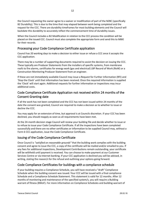the Council requesting the owner agree to a waiver or modification of part of the NZBC (specifically B2 Durability). This is due to the time that may elapsed between work being completed and the request for the CCC. There are durability timeframes for most building elements and the Council will backdate this durability to accurately reflect the commencement time of durability issues.

When the Council includes a B2 Modification in relation to the CCC process the condition will be placed on the issued CCC. Council must also complete the appropriate form and send this to MBIE for their records.

#### Processing your Code Compliance Certificate application

Council has 20 working days to make a decision to either issue or refuse a CCC once it accepts the CCC application.

There may be a number of supporting documents required to assist the decision on issuing the CCC. These typically are Producer Statements from the installers of specific systems, from membrane roofs to fire alarms, certificates for energy work (gas and electrical) LBP Record of Work (RoW) or a Construction Monitoring Producer Statement from an engineer.

If these are not immediately available Council may issue a Request for Further Information (RFI) and 'Stop the Clock' until that information has been received. Once the required information is supplied the 'Clock' will start again. Additional requests for further information or inspections may incur additional costs.

#### Code Compliance Certificate Application not received within 24 months of the Consent Granting date

If all the work has not been completed and the CCC has not been issued within 24 months of the date the consent was granted, Council are required to make a decision as to whether to issue or decline the CCC.

You may apply for an extension of time, but approval is at Councils discretion. If your CCC has been declined, you should reapply as soon as all requirements have been met.

At the 24-month decision stage Council will review your building file and decide whether to issue or to refuse to issue your Code Compliance Certificate. If all the inspections have been completed successfully and there are no other certificates or information to be supplied Council may, without a Form 6 CCC application, issue the Code Compliance Certificate.

#### Issuing of the Code Compliance Certificate

Once Council is *"satisfied on reasonable grounds"* that the building work complies with the building consent and agree to issue the CCC, a copy of the certificate will be mailed and/or emailed to you. If any fees for additional inspections, Development Contributions remain outstanding, your certificate will be withheld until payment is received. You can choose to make payment at our Customer Services Centre or via Internet banking. If your CCC application is declined you will be advised, in writing, stating the reason/s for the refusal and outlining your options going forward.

#### Code Compliance Certificates for buildings with a compliance schedule

If your building requires a Compliance Schedule, you will have received a "draft" Compliance Schedule when the building consent was issued. Your CCC will be issued with a final compliance Schedule and a Compliance Schedule Statement. This statement is valid for 12 months. After 12 months of monitoring and maintenance of the specified system/s, you will require a Building warrant of fitness (BWoF). For more information on Compliance Schedules and building warrant of